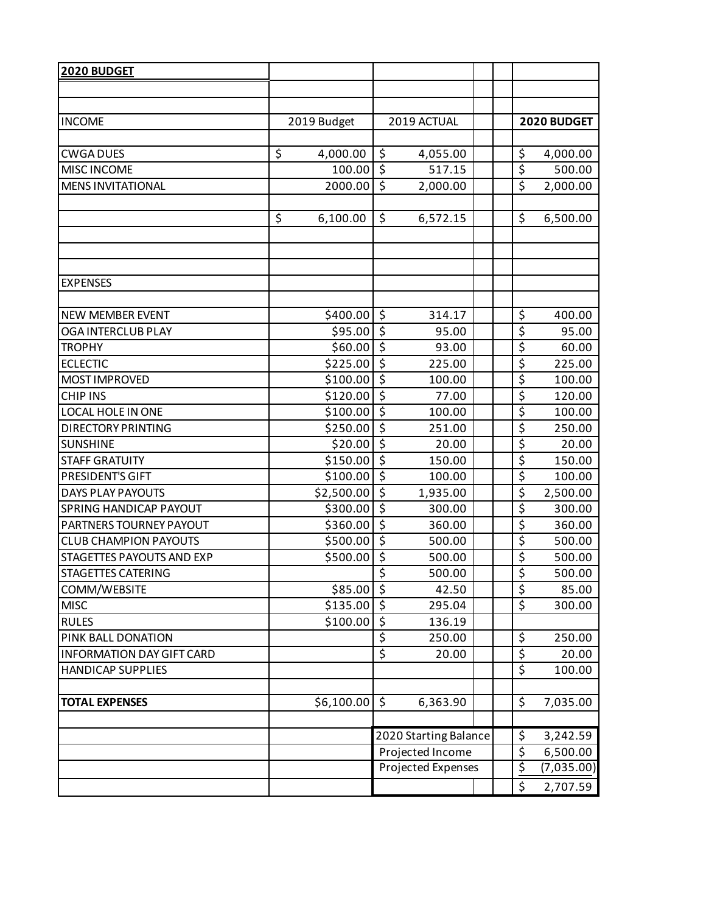| 2020 BUDGET<br><b>INCOME</b><br>2019 Budget<br>2019 ACTUAL                                                           |            |  |  |
|----------------------------------------------------------------------------------------------------------------------|------------|--|--|
|                                                                                                                      |            |  |  |
|                                                                                                                      |            |  |  |
|                                                                                                                      |            |  |  |
|                                                                                                                      |            |  |  |
| \$<br>\$<br>\$<br><b>CWGA DUES</b><br>4,000.00<br>4,055.00<br>4,000.00                                               |            |  |  |
| \$<br>\$<br>MISC INCOME<br>100.00<br>517.15<br>500.00                                                                |            |  |  |
| $\overline{\xi}$<br>$\overline{\xi}$<br>2000.00<br><b>MENS INVITATIONAL</b><br>2,000.00<br>2,000.00                  |            |  |  |
|                                                                                                                      |            |  |  |
| \$<br>\$<br>\$<br>6,100.00<br>6,572.15<br>6,500.00                                                                   |            |  |  |
|                                                                                                                      |            |  |  |
|                                                                                                                      |            |  |  |
|                                                                                                                      |            |  |  |
| <b>EXPENSES</b>                                                                                                      |            |  |  |
| $$400.00$ \$<br>\$<br>314.17<br>NEW MEMBER EVENT<br>400.00                                                           |            |  |  |
| $\overline{\xi}$<br>$\overline{\xi}$<br>\$95.00<br>95.00<br><b>OGA INTERCLUB PLAY</b>                                | 95.00      |  |  |
| \$<br>्<br><b>TROPHY</b><br>\$60.00<br>93.00                                                                         | 60.00      |  |  |
| \$<br>$\zeta$<br>\$225.00<br><b>ECLECTIC</b><br>225.00<br>225.00                                                     |            |  |  |
| $\overline{\boldsymbol{\zeta}}$<br>$\overline{\xi}$<br>\$100.00<br>MOST IMPROVED<br>100.00<br>100.00                 |            |  |  |
| \$<br>$\overline{\varsigma}$<br><b>CHIP INS</b><br>\$120.00<br>77.00<br>120.00                                       |            |  |  |
| $\overline{\xi}$<br>\$<br>LOCAL HOLE IN ONE<br>\$100.00<br>100.00<br>100.00                                          |            |  |  |
| $\overline{\boldsymbol{\varsigma}}$<br>$\overline{\xi}$<br>\$250.00<br><b>DIRECTORY PRINTING</b><br>251.00<br>250.00 |            |  |  |
| \$<br>$\overline{\xi}$<br>\$20.00<br><b>SUNSHINE</b><br>20.00                                                        | 20.00      |  |  |
| $\overline{\xi}$<br>$\zeta$<br><b>STAFF GRATUITY</b><br>\$150.00<br>150.00<br>150.00                                 |            |  |  |
| $\overline{\xi}$<br>$\overline{\xi}$<br>\$100.00<br>PRESIDENT'S GIFT<br>100.00<br>100.00                             |            |  |  |
| \$<br>$\overline{\xi}$<br>\$2,500.00<br>2,500.00<br><b>DAYS PLAY PAYOUTS</b><br>1,935.00                             |            |  |  |
| $\overline{\xi}$<br>$\zeta$<br>SPRING HANDICAP PAYOUT<br>\$300.00<br>300.00<br>300.00                                |            |  |  |
| $\overline{\xi}$<br>$\overline{\xi}$<br>PARTNERS TOURNEY PAYOUT<br>\$360.00<br>360.00<br>360.00                      |            |  |  |
| \$<br>$\overline{\varsigma}$<br><b>CLUB CHAMPION PAYOUTS</b><br>\$500.00<br>500.00<br>500.00                         |            |  |  |
| $\overline{\varsigma}$<br>\$<br>STAGETTES PAYOUTS AND EXP<br>\$500.00<br>500.00<br>500.00                            |            |  |  |
| $\overline{\boldsymbol{\varsigma}}$<br>\$<br><b>STAGETTES CATERING</b><br>500.00<br>500.00                           |            |  |  |
| \$<br>$$85.00$ $$$<br>COMM/WEBSITE<br>42.50                                                                          | 85.00      |  |  |
| \$<br>\$135.00<br><b>MISC</b><br>\$<br>295.04<br>300.00                                                              |            |  |  |
| \$<br>\$100.00<br><b>RULES</b><br>136.19                                                                             |            |  |  |
| \$<br>\$<br>250.00<br>PINK BALL DONATION<br>250.00                                                                   |            |  |  |
| \$<br>\$<br><b>INFORMATION DAY GIFT CARD</b><br>20.00                                                                | 20.00      |  |  |
| $\overline{\xi}$<br><b>HANDICAP SUPPLIES</b><br>100.00                                                               |            |  |  |
| \$<br>$$6,100.00$ \$<br>6,363.90<br><b>TOTAL EXPENSES</b><br>7,035.00                                                |            |  |  |
|                                                                                                                      |            |  |  |
| \$<br>2020 Starting Balance<br>3,242.59                                                                              |            |  |  |
| \$<br>Projected Income<br>6,500.00                                                                                   |            |  |  |
| $\overline{\xi}$<br>Projected Expenses                                                                               | (7,035.00) |  |  |
| \$<br>2,707.59                                                                                                       |            |  |  |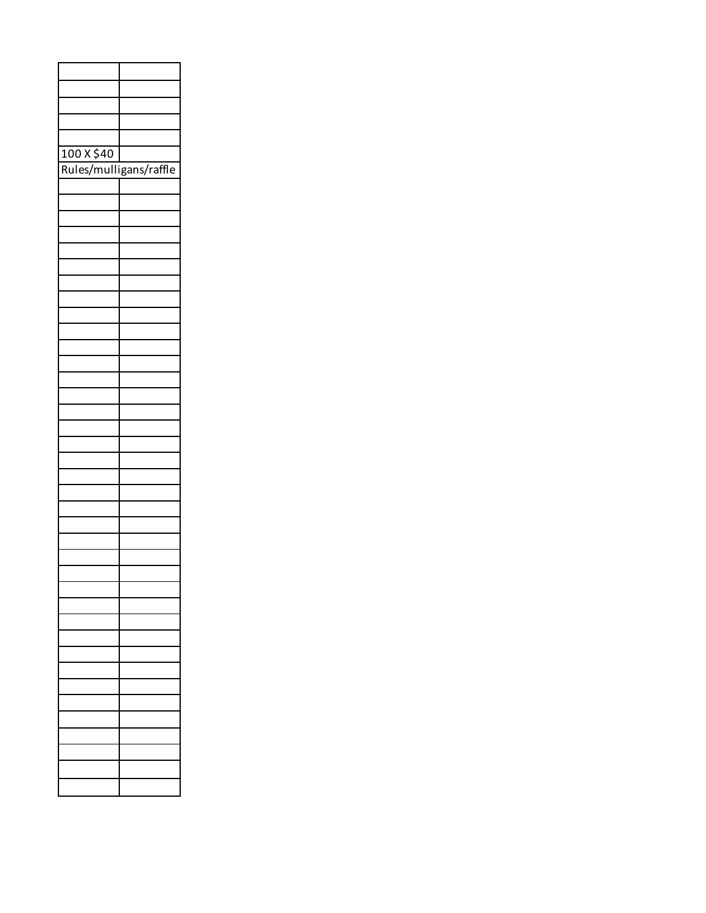| 100 X \$40             |  |
|------------------------|--|
| Rules/mulligans/raffle |  |
|                        |  |
|                        |  |
|                        |  |
|                        |  |
|                        |  |
|                        |  |
|                        |  |
|                        |  |
|                        |  |
|                        |  |
|                        |  |
|                        |  |
|                        |  |
|                        |  |
|                        |  |
|                        |  |
|                        |  |
|                        |  |
|                        |  |
|                        |  |
|                        |  |
|                        |  |
|                        |  |
|                        |  |
|                        |  |
|                        |  |
|                        |  |
|                        |  |
|                        |  |
|                        |  |
|                        |  |
|                        |  |
|                        |  |
|                        |  |
|                        |  |
|                        |  |
|                        |  |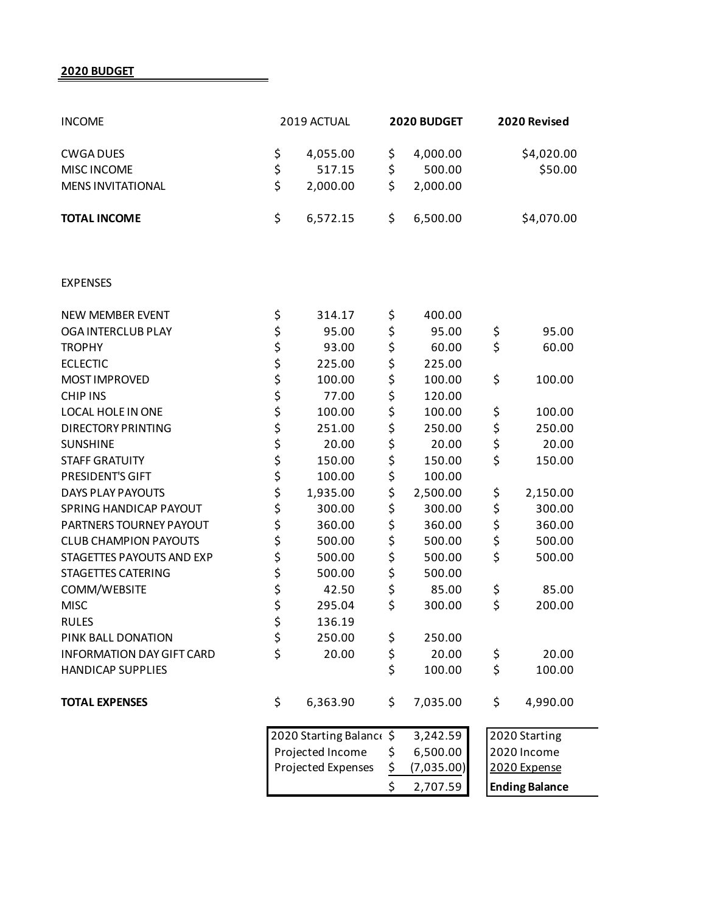**2020 BUDGET**

| <b>INCOME</b>                    |          | 2019 ACTUAL           |    | 2020 BUDGET | 2020 Revised  |                       |
|----------------------------------|----------|-----------------------|----|-------------|---------------|-----------------------|
| <b>CWGA DUES</b>                 | \$       | 4,055.00              | \$ | 4,000.00    |               | \$4,020.00            |
| MISC INCOME                      | \$       | 517.15                | \$ | 500.00      |               | \$50.00               |
| <b>MENS INVITATIONAL</b>         | \$       | 2,000.00              | \$ | 2,000.00    |               |                       |
| <b>TOTAL INCOME</b>              | \$       | 6,572.15              | \$ | 6,500.00    |               | \$4,070.00            |
| <b>EXPENSES</b>                  |          |                       |    |             |               |                       |
| <b>NEW MEMBER EVENT</b>          | \$       | 314.17                | \$ | 400.00      |               |                       |
| OGA INTERCLUB PLAY               | \$       | 95.00                 | \$ | 95.00       | \$            | 95.00                 |
| <b>TROPHY</b>                    |          | 93.00                 | \$ | 60.00       | \$            | 60.00                 |
| <b>ECLECTIC</b>                  | \$\$\$   | 225.00                | \$ | 225.00      |               |                       |
| MOST IMPROVED                    |          | 100.00                | \$ | 100.00      | \$            | 100.00                |
| <b>CHIP INS</b>                  | \$       | 77.00                 | \$ | 120.00      |               |                       |
| LOCAL HOLE IN ONE                | \$<br>\$ | 100.00                | \$ | 100.00      | \$            | 100.00                |
| <b>DIRECTORY PRINTING</b>        |          | 251.00                | \$ | 250.00      | \$            | 250.00                |
| <b>SUNSHINE</b>                  | \$       | 20.00                 | \$ | 20.00       | \$            | 20.00                 |
| <b>STAFF GRATUITY</b>            | \$<br>\$ | 150.00                | \$ | 150.00      | \$            | 150.00                |
| PRESIDENT'S GIFT                 |          | 100.00                | \$ | 100.00      |               |                       |
| <b>DAYS PLAY PAYOUTS</b>         | \$       | 1,935.00              | \$ | 2,500.00    | \$            | 2,150.00              |
| SPRING HANDICAP PAYOUT           |          | 300.00                | \$ | 300.00      | \$            | 300.00                |
| PARTNERS TOURNEY PAYOUT          | \$<br>\$ | 360.00                | \$ | 360.00      | \$            | 360.00                |
| <b>CLUB CHAMPION PAYOUTS</b>     | \$       | 500.00                | \$ | 500.00      | \$            | 500.00                |
| STAGETTES PAYOUTS AND EXP        | \$       | 500.00                | \$ | 500.00      | \$            | 500.00                |
| <b>STAGETTES CATERING</b>        | \$       | 500.00                | \$ | 500.00      |               |                       |
| COMM/WEBSITE                     | \$       | 42.50                 | \$ | 85.00       | \$            | 85.00                 |
| <b>MISC</b>                      |          | 295.04                | \$ | 300.00      | \$            | 200.00                |
| <b>RULES</b>                     | \$<br>\$ | 136.19                |    |             |               |                       |
| PINK BALL DONATION               | \$       | 250.00                | \$ | 250.00      |               |                       |
| <b>INFORMATION DAY GIFT CARD</b> | \$       | 20.00                 | \$ | 20.00       | \$            | 20.00                 |
| <b>HANDICAP SUPPLIES</b>         |          |                       | \$ | 100.00      | \$            | 100.00                |
| <b>TOTAL EXPENSES</b>            | \$       | 6,363.90              | \$ | 7,035.00    | \$            | 4,990.00              |
|                                  |          | 2020 Starting Balance |    | 3,242.59    | 2020 Starting |                       |
|                                  |          | Projected Income      |    | 6,500.00    |               | 2020 Income           |
|                                  |          | Projected Expenses    |    | (7,035.00)  | 2020 Expense  |                       |
|                                  |          |                       |    | 2,707.59    |               | <b>Ending Balance</b> |